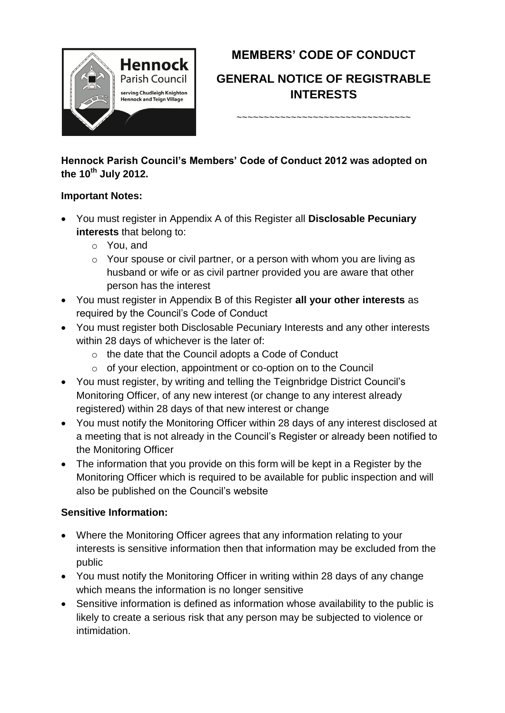

# **MEMBERS' CODE OF CONDUCT**

# **GENERAL NOTICE OF REGISTRABLE INTERESTS**

~~~~~~~~~~~~~~~~~~~~~~~~~~~~~~

**Hennock Parish Council's Members' Code of Conduct 2012 was adopted on the 10th July 2012.**

### **Important Notes:**

- You must register in Appendix A of this Register all **Disclosable Pecuniary interests** that belong to:
	- o You, and
	- o Your spouse or civil partner, or a person with whom you are living as husband or wife or as civil partner provided you are aware that other person has the interest
- You must register in Appendix B of this Register **all your other interests** as required by the Council's Code of Conduct
- You must register both Disclosable Pecuniary Interests and any other interests within 28 days of whichever is the later of:
	- o the date that the Council adopts a Code of Conduct
	- o of your election, appointment or co-option on to the Council
- You must register, by writing and telling the Teignbridge District Council's Monitoring Officer, of any new interest (or change to any interest already registered) within 28 days of that new interest or change
- You must notify the Monitoring Officer within 28 days of any interest disclosed at a meeting that is not already in the Council's Register or already been notified to the Monitoring Officer
- The information that you provide on this form will be kept in a Register by the Monitoring Officer which is required to be available for public inspection and will also be published on the Council's website

# **Sensitive Information:**

- Where the Monitoring Officer agrees that any information relating to your interests is sensitive information then that information may be excluded from the public
- You must notify the Monitoring Officer in writing within 28 days of any change which means the information is no longer sensitive
- Sensitive information is defined as information whose availability to the public is likely to create a serious risk that any person may be subjected to violence or intimidation.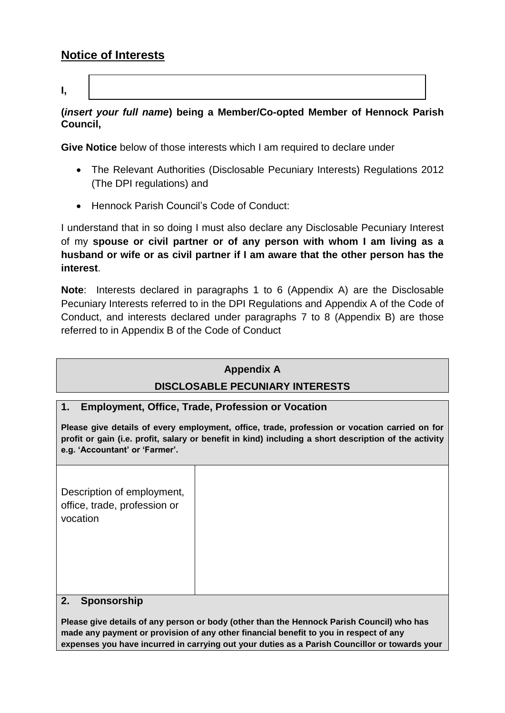# **Notice of Interests**

**I,** 

### **(***insert your full name***) being a Member/Co-opted Member of Hennock Parish Council,**

**Give Notice** below of those interests which I am required to declare under

- The Relevant Authorities (Disclosable Pecuniary Interests) Regulations 2012 (The DPI regulations) and
- Hennock Parish Council's Code of Conduct:

I understand that in so doing I must also declare any Disclosable Pecuniary Interest of my **spouse or civil partner or of any person with whom I am living as a husband or wife or as civil partner if I am aware that the other person has the interest**.

**Note**: Interests declared in paragraphs 1 to 6 (Appendix A) are the Disclosable Pecuniary Interests referred to in the DPI Regulations and Appendix A of the Code of Conduct, and interests declared under paragraphs 7 to 8 (Appendix B) are those referred to in Appendix B of the Code of Conduct

# **Appendix A DISCLOSABLE PECUNIARY INTERESTS**

### **1. Employment, Office, Trade, Profession or Vocation**

**Please give details of every employment, office, trade, profession or vocation carried on for profit or gain (i.e. profit, salary or benefit in kind) including a short description of the activity e.g. 'Accountant' or 'Farmer'.** 

Description of employment, office, trade, profession or vocation

### **2. Sponsorship**

**Please give details of any person or body (other than the Hennock Parish Council) who has made any payment or provision of any other financial benefit to you in respect of any expenses you have incurred in carrying out your duties as a Parish Councillor or towards your**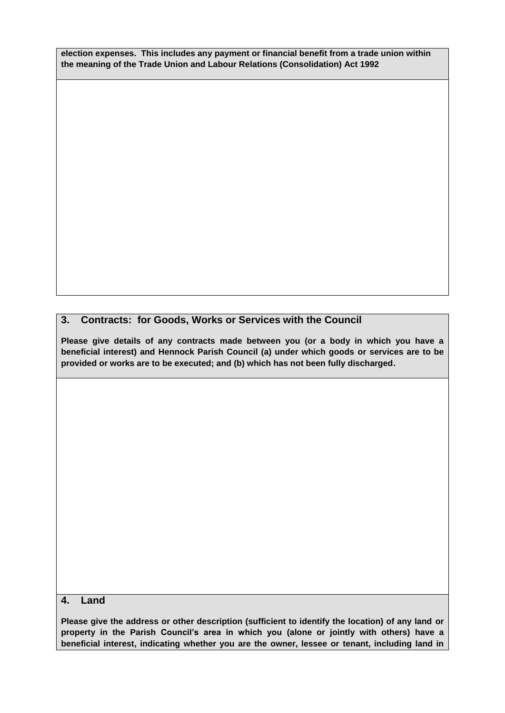**election expenses. This includes any payment or financial benefit from a trade union within the meaning of the Trade Union and Labour Relations (Consolidation) Act 1992**

#### **3. Contracts: for Goods, Works or Services with the Council**

**Please give details of any contracts made between you (or a body in which you have a beneficial interest) and Hennock Parish Council (a) under which goods or services are to be provided or works are to be executed; and (b) which has not been fully discharged.** 

#### **4. Land**

**Please give the address or other description (sufficient to identify the location) of any land or property in the Parish Council's area in which you (alone or jointly with others) have a beneficial interest, indicating whether you are the owner, lessee or tenant, including land in**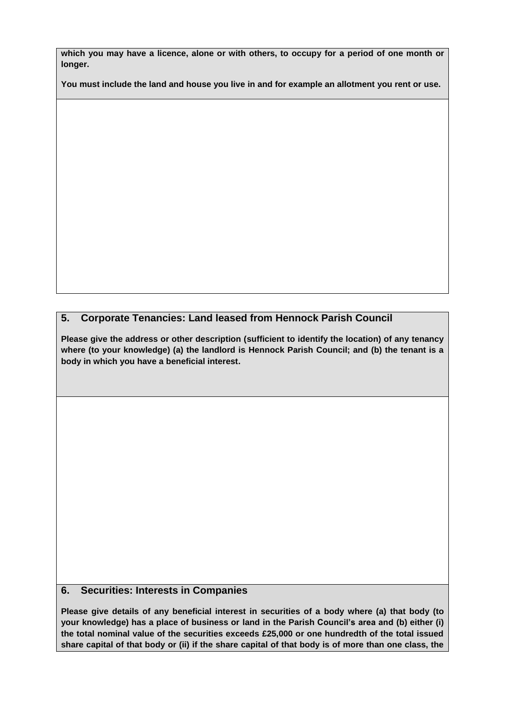**which you may have a licence, alone or with others, to occupy for a period of one month or longer.** 

**You must include the land and house you live in and for example an allotment you rent or use.**

#### **5. Corporate Tenancies: Land leased from Hennock Parish Council**

**Please give the address or other description (sufficient to identify the location) of any tenancy where (to your knowledge) (a) the landlord is Hennock Parish Council; and (b) the tenant is a body in which you have a beneficial interest.** 

#### **6. Securities: Interests in Companies**

**Please give details of any beneficial interest in securities of a body where (a) that body (to your knowledge) has a place of business or land in the Parish Council's area and (b) either (i) the total nominal value of the securities exceeds £25,000 or one hundredth of the total issued share capital of that body or (ii) if the share capital of that body is of more than one class, the**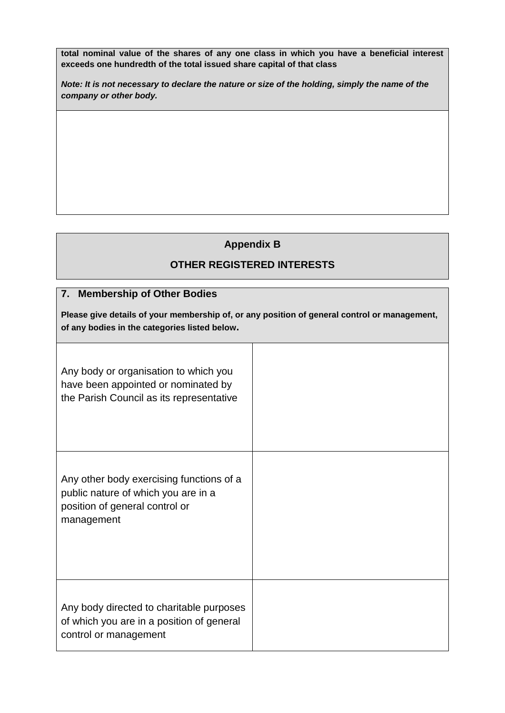**total nominal value of the shares of any one class in which you have a beneficial interest exceeds one hundredth of the total issued share capital of that class**

*Note: It is not necessary to declare the nature or size of the holding, simply the name of the company or other body.* 

# **Appendix B**

# **OTHER REGISTERED INTERESTS**

## **7. Membership of Other Bodies**

| Please give details of your membership of, or any position of general control or management, |  |
|----------------------------------------------------------------------------------------------|--|
| of any bodies in the categories listed below.                                                |  |

| Any body or organisation to which you<br>have been appointed or nominated by<br>the Parish Council as its representative        |  |
|---------------------------------------------------------------------------------------------------------------------------------|--|
| Any other body exercising functions of a<br>public nature of which you are in a<br>position of general control or<br>management |  |
| Any body directed to charitable purposes<br>of which you are in a position of general<br>control or management                  |  |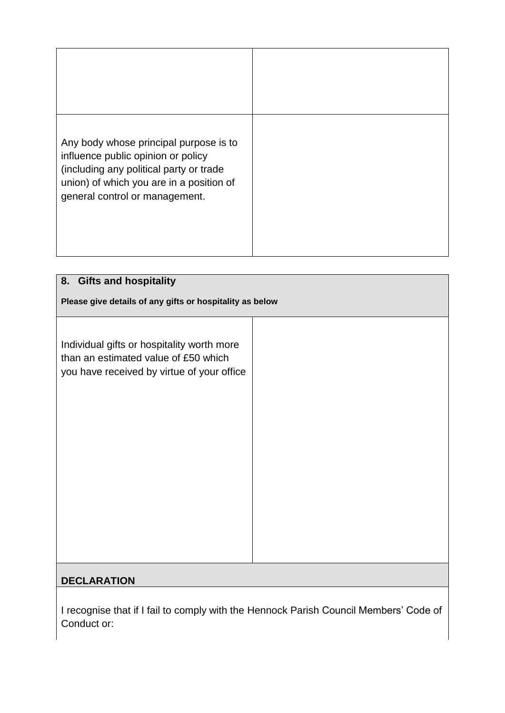| Any body whose principal purpose is to<br>influence public opinion or policy<br>(including any political party or trade<br>union) of which you are in a position of<br>general control or management. |  |
|-------------------------------------------------------------------------------------------------------------------------------------------------------------------------------------------------------|--|
|                                                                                                                                                                                                       |  |

| 8. Gifts and hospitality                                                                                                         |  |  |
|----------------------------------------------------------------------------------------------------------------------------------|--|--|
| Please give details of any gifts or hospitality as below                                                                         |  |  |
| Individual gifts or hospitality worth more<br>than an estimated value of £50 which<br>you have received by virtue of your office |  |  |
| <b>DECLARATION</b>                                                                                                               |  |  |

I recognise that if I fail to comply with the Hennock Parish Council Members' Code of Conduct or: